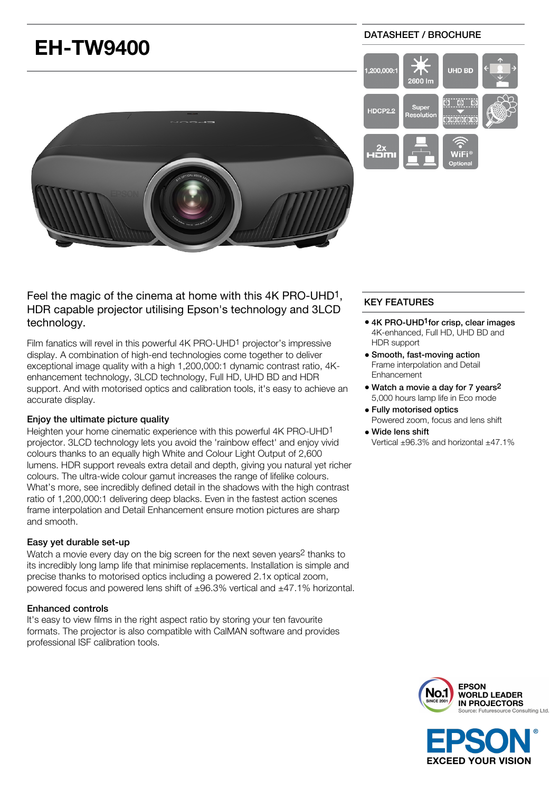

Feel the magic of the cinema at home with this 4K PRO-UHD1, HDR capable projector utilising Epson's technology and 3LCD technology.

Film fanatics will revel in this powerful 4K PRO-UHD<sup>1</sup> projector's impressive display. A combination of high-end technologies come together to deliver exceptional image quality with a high 1,200,000:1 dynamic contrast ratio, 4Kenhancement technology, 3LCD technology, Full HD, UHD BD and HDR support. And with motorised optics and calibration tools, it's easy to achieve an accurate display.

# Enjoy the ultimate picture quality

Heighten your home cinematic experience with this powerful 4K PRO-UHD1 projector. 3LCD technology lets you avoid the 'rainbow effect' and enjoy vivid colours thanks to an equally high White and Colour Light Output of 2,600 lumens. HDR support reveals extra detail and depth, giving you natural yet richer colours. The ultra-wide colour gamut increases the range of lifelike colours. What's more, see incredibly defined detail in the shadows with the high contrast ratio of 1,200,000:1 delivering deep blacks. Even in the fastest action scenes frame interpolation and Detail Enhancement ensure motion pictures are sharp and smooth.

### Easy yet durable set-up

Watch a movie every day on the big screen for the next seven years<sup>2</sup> thanks to its incredibly long lamp life that minimise replacements. Installation is simple and precise thanks to motorised optics including a powered 2.1x optical zoom, powered focus and powered lens shift of  $\pm 96.3\%$  vertical and  $\pm 47.1\%$  horizontal.

#### Enhanced controls

It's easy to view films in the right aspect ratio by storing your ten favourite formats. The projector is also compatible with CalMAN software and provides professional ISF calibration tools.

#### DATASHEET / BROCHURE



# KEY FEATURES

- 4K PRO-UHD<sup>1</sup> for crisp, clear images 4K-enhanced, Full HD, UHD BD and HDR support
- Smooth, fast-moving action Frame interpolation and Detail Enhancement
- Watch a movie a day for 7 years<sup>2</sup> 5,000 hours lamp life in Eco mode
- Fully motorised optics Powered zoom, focus and lens shift
- Wide lens shift Vertical ±96.3% and horizontal ±47.1%



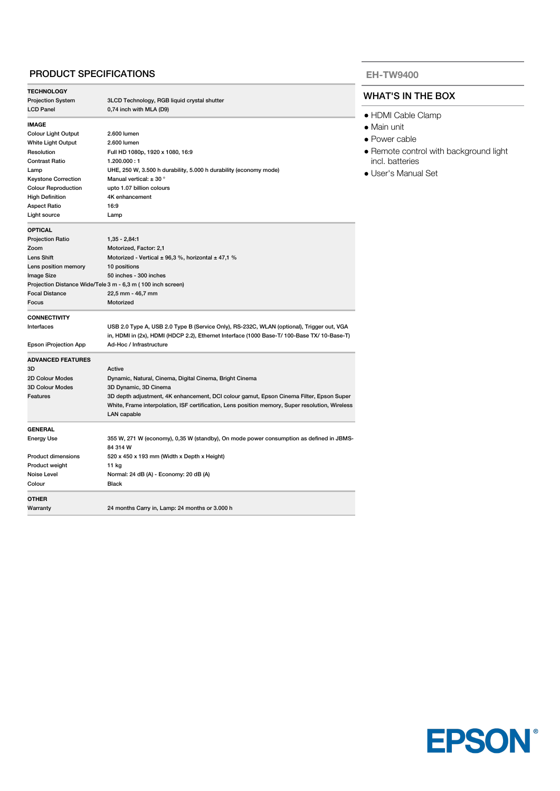# PRODUCT SPECIFICATIONS

| <b>TECHNOLOGY</b>          |                                                                                                 |
|----------------------------|-------------------------------------------------------------------------------------------------|
| <b>Projection System</b>   | 3LCD Technology, RGB liquid crystal shutter                                                     |
| <b>LCD Panel</b>           | 0,74 inch with MLA (D9)                                                                         |
| <b>IMAGE</b>               |                                                                                                 |
| <b>Colour Light Output</b> | 2.600 lumen                                                                                     |
| White Light Output         | 2.600 lumen                                                                                     |
| Resolution                 | Full HD 1080p, 1920 x 1080, 16:9                                                                |
| <b>Contrast Ratio</b>      | 1.200.000:1                                                                                     |
| Lamp                       | UHE, 250 W, 3.500 h durability, 5.000 h durability (economy mode)                               |
| <b>Keystone Correction</b> | Manual vertical: $\pm$ 30 $^{\circ}$                                                            |
| <b>Colour Reproduction</b> | upto 1.07 billion colours                                                                       |
| <b>High Definition</b>     | 4K enhancement                                                                                  |
| <b>Aspect Ratio</b>        | 16:9                                                                                            |
| Light source               | Lamp                                                                                            |
|                            |                                                                                                 |
| <b>OPTICAL</b>             |                                                                                                 |
| <b>Projection Ratio</b>    | $1,35 - 2,84.1$                                                                                 |
| Zoom                       | Motorized, Factor: 2,1                                                                          |
| Lens Shift                 | Motorized - Vertical $\pm$ 96,3 %, horizontal $\pm$ 47,1 %                                      |
| Lens position memory       | 10 positions                                                                                    |
| Image Size                 | 50 inches - 300 inches                                                                          |
|                            | Projection Distance Wide/Tele 3 m - 6,3 m (100 inch screen)                                     |
| <b>Focal Distance</b>      | 22,5 mm - 46,7 mm                                                                               |
| Focus                      | Motorized                                                                                       |
| <b>CONNECTIVITY</b>        |                                                                                                 |
| Interfaces                 | USB 2.0 Type A, USB 2.0 Type B (Service Only), RS-232C, WLAN (optional), Trigger out, VGA       |
|                            | in, HDMI in (2x), HDMI (HDCP 2.2), Ethernet Interface (1000 Base-T/ 100-Base TX/ 10-Base-T)     |
| Epson iProjection App      | Ad-Hoc / Infrastructure                                                                         |
| <b>ADVANCED FEATURES</b>   |                                                                                                 |
| 3D                         | Active                                                                                          |
| 2D Colour Modes            | Dynamic, Natural, Cinema, Digital Cinema, Bright Cinema                                         |
| <b>3D Colour Modes</b>     | 3D Dynamic, 3D Cinema                                                                           |
| <b>Features</b>            | 3D depth adjustment, 4K enhancement, DCI colour gamut, Epson Cinema Filter, Epson Super         |
|                            | White, Frame interpolation, ISF certification, Lens position memory, Super resolution, Wireless |
|                            | <b>LAN</b> capable                                                                              |
|                            |                                                                                                 |
| <b>GENERAL</b>             |                                                                                                 |
| <b>Energy Use</b>          | 355 W, 271 W (economy), 0,35 W (standby), On mode power consumption as defined in JBMS-         |
|                            | 84 314 W                                                                                        |
| <b>Product dimensions</b>  | 520 x 450 x 193 mm (Width x Depth x Height)                                                     |
| Product weight             | 11 kg                                                                                           |
| Noise Level                | Normal: 24 dB (A) - Economy: 20 dB (A)                                                          |
| Colour                     | <b>Black</b>                                                                                    |
| OTHER                      |                                                                                                 |
| Warranty                   | 24 months Carry in, Lamp: 24 months or 3.000 h                                                  |
|                            |                                                                                                 |

#### **EH-TW9400**

## WHAT'S IN THE BOX

- HDMI Cable Clamp
- Main unit
- Power cable
- Remote control with background light incl. batteries
- User's Manual Set